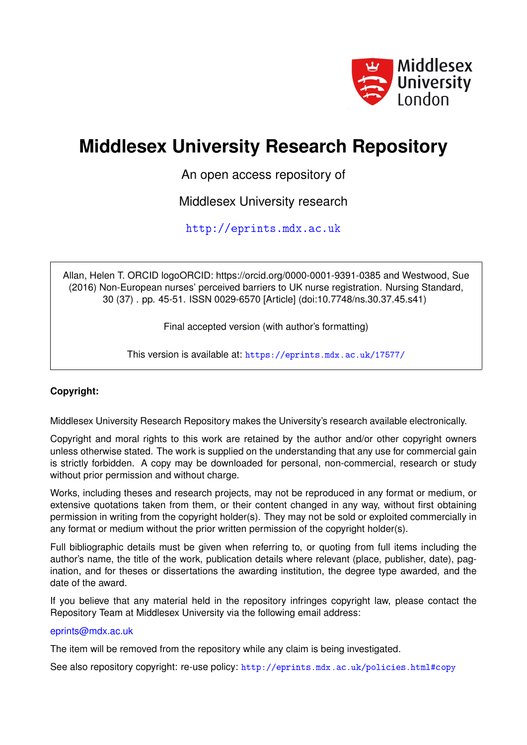

# **Middlesex University Research Repository**

An open access repository of

Middlesex University research

<http://eprints.mdx.ac.uk>

Allan, Helen T. ORCID logoORCID: https://orcid.org/0000-0001-9391-0385 and Westwood, Sue (2016) Non-European nurses' perceived barriers to UK nurse registration. Nursing Standard, 30 (37) . pp. 45-51. ISSN 0029-6570 [Article] (doi:10.7748/ns.30.37.45.s41)

Final accepted version (with author's formatting)

This version is available at: <https://eprints.mdx.ac.uk/17577/>

#### **Copyright:**

Middlesex University Research Repository makes the University's research available electronically.

Copyright and moral rights to this work are retained by the author and/or other copyright owners unless otherwise stated. The work is supplied on the understanding that any use for commercial gain is strictly forbidden. A copy may be downloaded for personal, non-commercial, research or study without prior permission and without charge.

Works, including theses and research projects, may not be reproduced in any format or medium, or extensive quotations taken from them, or their content changed in any way, without first obtaining permission in writing from the copyright holder(s). They may not be sold or exploited commercially in any format or medium without the prior written permission of the copyright holder(s).

Full bibliographic details must be given when referring to, or quoting from full items including the author's name, the title of the work, publication details where relevant (place, publisher, date), pagination, and for theses or dissertations the awarding institution, the degree type awarded, and the date of the award.

If you believe that any material held in the repository infringes copyright law, please contact the Repository Team at Middlesex University via the following email address:

#### [eprints@mdx.ac.uk](mailto:eprints@mdx.ac.uk)

The item will be removed from the repository while any claim is being investigated.

See also repository copyright: re-use policy: <http://eprints.mdx.ac.uk/policies.html#copy>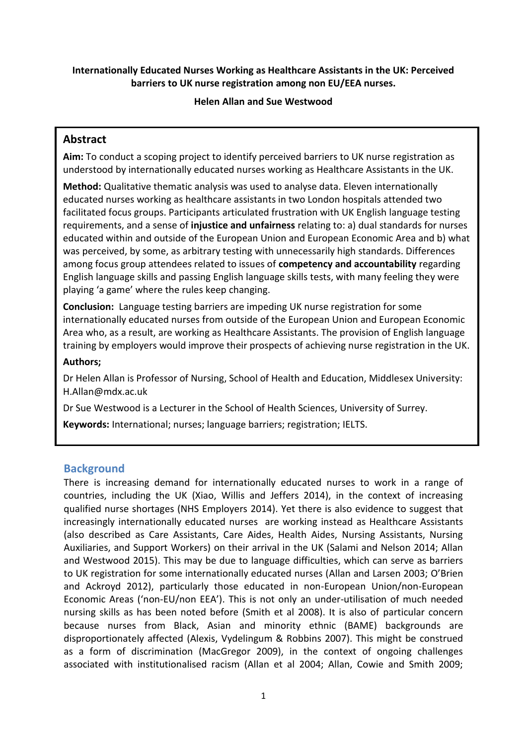## **Internationally Educated Nurses Working as Healthcare Assistants in the UK: Perceived barriers to UK nurse registration among non EU/EEA nurses.**

#### **Helen Allan and Sue Westwood**

# **Abstract**

**Aim:** To conduct a scoping project to identify perceived barriers to UK nurse registration as understood by internationally educated nurses working as Healthcare Assistants in the UK.

**Method:** Qualitative thematic analysis was used to analyse data. Eleven internationally educated nurses working as healthcare assistants in two London hospitals attended two facilitated focus groups. Participants articulated frustration with UK English language testing requirements, and a sense of **injustice and unfairness** relating to: a) dual standards for nurses educated within and outside of the European Union and European Economic Area and b) what was perceived, by some, as arbitrary testing with unnecessarily high standards. Differences among focus group attendees related to issues of **competency and accountability** regarding English language skills and passing English language skills tests, with many feeling they were playing 'a game' where the rules keep changing.

**Conclusion:** Language testing barriers are impeding UK nurse registration for some internationally educated nurses from outside of the European Union and European Economic Area who, as a result, are working as Healthcare Assistants. The provision of English language training by employers would improve their prospects of achieving nurse registration in the UK.

#### **Authors;**

Dr Helen Allan is Professor of Nursing, School of Health and Education, Middlesex University: [H.Allan@mdx.ac.uk](mailto:H.Allan@mdx.ac.uk)

Dr Sue Westwood is a Lecturer in the School of Health Sciences, University of Surrey.

**Keywords:** International; nurses; language barriers; registration; IELTS.

# **Background**

There is increasing demand for internationally educated nurses to work in a range of countries, including the UK (Xiao, Willis and Jeffers 2014), in the context of increasing qualified nurse shortages (NHS Employers 2014). Yet there is also evidence to suggest that increasingly internationally educated nurses are working instead as Healthcare Assistants (also described as Care Assistants, Care Aides, Health Aides, Nursing Assistants, Nursing Auxiliaries, and Support Workers) on their arrival in the UK (Salami and Nelson 2014; Allan and Westwood 2015). This may be due to language difficulties, which can serve as barriers to UK registration for some internationally educated nurses (Allan and Larsen 2003; O'Brien and Ackroyd 2012), particularly those educated in non-European Union/non-European Economic Areas ('non-EU/non EEA'). This is not only an under-utilisation of much needed nursing skills as has been noted before (Smith et al 2008). It is also of particular concern because nurses from Black, Asian and minority ethnic (BAME) backgrounds are disproportionately affected (Alexis, Vydelingum & Robbins 2007). This might be construed as a form of discrimination (MacGregor 2009), in the context of ongoing challenges associated with institutionalised racism (Allan et al 2004; Allan, Cowie and Smith 2009;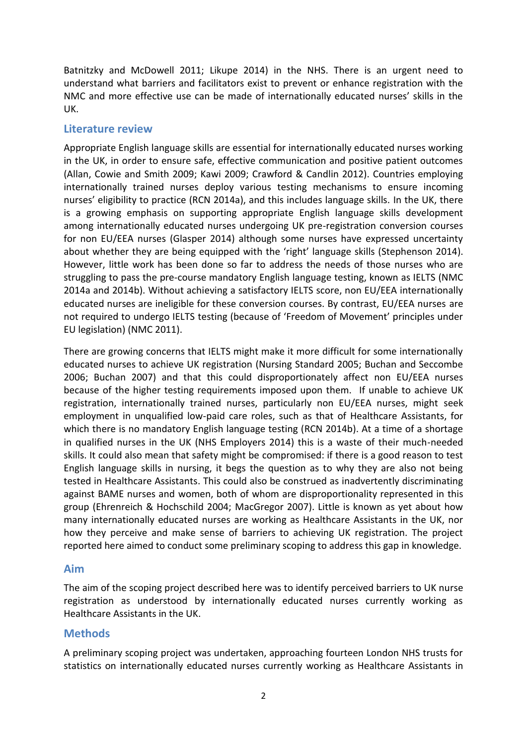Batnitzky and McDowell 2011; Likupe 2014) in the NHS. There is an urgent need to understand what barriers and facilitators exist to prevent or enhance registration with the NMC and more effective use can be made of internationally educated nurses' skills in the UK.

## **Literature review**

Appropriate English language skills are essential for internationally educated nurses working in the UK, in order to ensure safe, effective communication and positive patient outcomes (Allan, Cowie and Smith 2009; Kawi 2009; Crawford & Candlin 2012). Countries employing internationally trained nurses deploy various testing mechanisms to ensure incoming nurses' eligibility to practice (RCN 2014a), and this includes language skills. In the UK, there is a growing emphasis on supporting appropriate English language skills development among internationally educated nurses undergoing UK pre-registration conversion courses for non EU/EEA nurses (Glasper 2014) although some nurses have expressed uncertainty about whether they are being equipped with the 'right' language skills (Stephenson 2014). However, little work has been done so far to address the needs of those nurses who are struggling to pass the pre-course mandatory English language testing, known as IELTS (NMC 2014a and 2014b). Without achieving a satisfactory IELTS score, non EU/EEA internationally educated nurses are ineligible for these conversion courses. By contrast, EU/EEA nurses are not required to undergo IELTS testing (because of 'Freedom of Movement' principles under EU legislation) (NMC 2011).

There are growing concerns that IELTS might make it more difficult for some internationally educated nurses to achieve UK registration (Nursing Standard 2005; Buchan and Seccombe 2006; Buchan 2007) and that this could disproportionately affect non EU/EEA nurses because of the higher testing requirements imposed upon them. If unable to achieve UK registration, internationally trained nurses, particularly non EU/EEA nurses, might seek employment in unqualified low-paid care roles, such as that of Healthcare Assistants, for which there is no mandatory English language testing (RCN 2014b). At a time of a shortage in qualified nurses in the UK (NHS Employers 2014) this is a waste of their much-needed skills. It could also mean that safety might be compromised: if there is a good reason to test English language skills in nursing, it begs the question as to why they are also not being tested in Healthcare Assistants. This could also be construed as inadvertently discriminating against BAME nurses and women, both of whom are disproportionality represented in this group (Ehrenreich & Hochschild 2004; MacGregor 2007). Little is known as yet about how many internationally educated nurses are working as Healthcare Assistants in the UK, nor how they perceive and make sense of barriers to achieving UK registration. The project reported here aimed to conduct some preliminary scoping to address this gap in knowledge.

#### **Aim**

The aim of the scoping project described here was to identify perceived barriers to UK nurse registration as understood by internationally educated nurses currently working as Healthcare Assistants in the UK.

# **Methods**

A preliminary scoping project was undertaken, approaching fourteen London NHS trusts for statistics on internationally educated nurses currently working as Healthcare Assistants in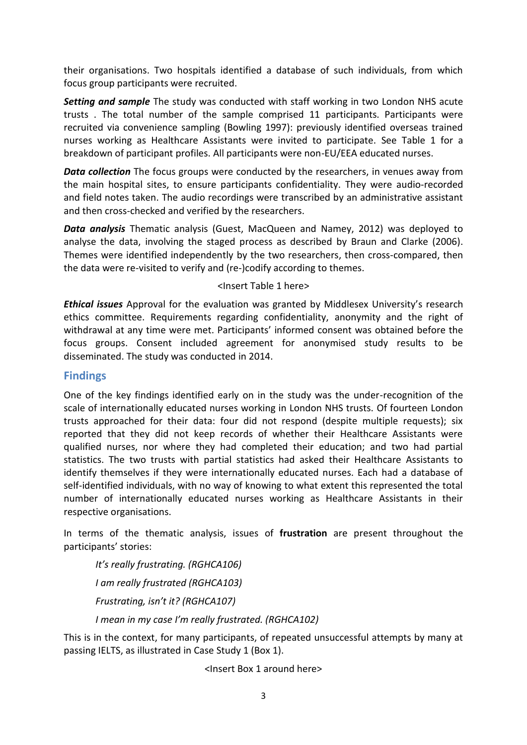their organisations. Two hospitals identified a database of such individuals, from which focus group participants were recruited.

*Setting and sample* The study was conducted with staff working in two London NHS acute trusts . The total number of the sample comprised 11 participants. Participants were recruited via convenience sampling (Bowling 1997): previously identified overseas trained nurses working as Healthcare Assistants were invited to participate. See Table 1 for a breakdown of participant profiles. All participants were non-EU/EEA educated nurses.

*Data collection* The focus groups were conducted by the researchers, in venues away from the main hospital sites, to ensure participants confidentiality. They were audio-recorded and field notes taken. The audio recordings were transcribed by an administrative assistant and then cross-checked and verified by the researchers.

*Data analysis* Thematic analysis (Guest, MacQueen and Namey, 2012) was deployed to analyse the data, involving the staged process as described by Braun and Clarke (2006). Themes were identified independently by the two researchers, then cross-compared, then the data were re-visited to verify and (re-)codify according to themes.

#### <Insert Table 1 here>

*Ethical issues* Approval for the evaluation was granted by Middlesex University's research ethics committee. Requirements regarding confidentiality, anonymity and the right of withdrawal at any time were met. Participants' informed consent was obtained before the focus groups. Consent included agreement for anonymised study results to be disseminated. The study was conducted in 2014.

#### **Findings**

One of the key findings identified early on in the study was the under-recognition of the scale of internationally educated nurses working in London NHS trusts. Of fourteen London trusts approached for their data: four did not respond (despite multiple requests); six reported that they did not keep records of whether their Healthcare Assistants were qualified nurses, nor where they had completed their education; and two had partial statistics. The two trusts with partial statistics had asked their Healthcare Assistants to identify themselves if they were internationally educated nurses. Each had a database of self-identified individuals, with no way of knowing to what extent this represented the total number of internationally educated nurses working as Healthcare Assistants in their respective organisations.

In terms of the thematic analysis, issues of **frustration** are present throughout the participants' stories:

*It's really frustrating. (RGHCA106) I am really frustrated (RGHCA103) Frustrating, isn't it? (RGHCA107) I mean in my case I'm really frustrated. (RGHCA102)*

This is in the context, for many participants, of repeated unsuccessful attempts by many at passing IELTS, as illustrated in Case Study 1 (Box 1).

<Insert Box 1 around here>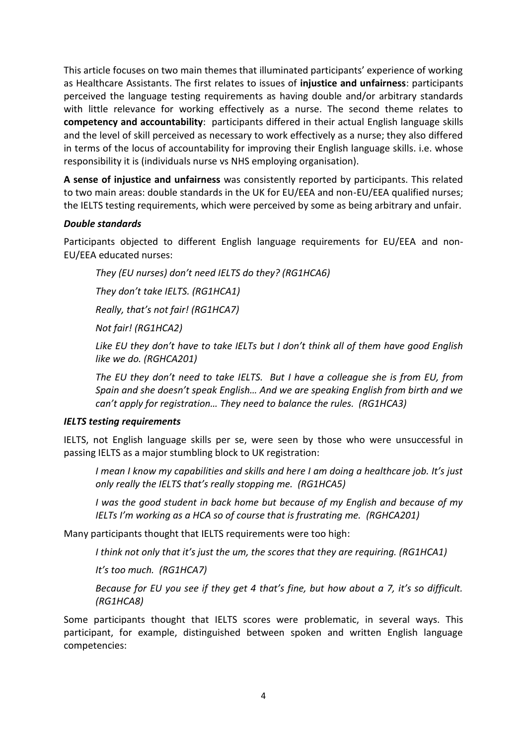This article focuses on two main themes that illuminated participants' experience of working as Healthcare Assistants. The first relates to issues of **injustice and unfairness**: participants perceived the language testing requirements as having double and/or arbitrary standards with little relevance for working effectively as a nurse. The second theme relates to **competency and accountability**: participants differed in their actual English language skills and the level of skill perceived as necessary to work effectively as a nurse; they also differed in terms of the locus of accountability for improving their English language skills. i.e. whose responsibility it is (individuals nurse vs NHS employing organisation).

**A sense of injustice and unfairness** was consistently reported by participants. This related to two main areas: double standards in the UK for EU/EEA and non-EU/EEA qualified nurses; the IELTS testing requirements, which were perceived by some as being arbitrary and unfair.

#### *Double standards*

Participants objected to different English language requirements for EU/EEA and non-EU/EEA educated nurses:

*They (EU nurses) don't need IELTS do they? (RG1HCA6)*

*They don't take IELTS. (RG1HCA1)*

*Really, that's not fair! (RG1HCA7)*

*Not fair! (RG1HCA2)*

*Like EU they don't have to take IELTs but I don't think all of them have good English like we do. (RGHCA201)*

*The EU they don't need to take IELTS. But I have a colleague she is from EU, from Spain and she doesn't speak English… And we are speaking English from birth and we can't apply for registration… They need to balance the rules. (RG1HCA3)* 

#### *IELTS testing requirements*

IELTS, not English language skills per se, were seen by those who were unsuccessful in passing IELTS as a major stumbling block to UK registration:

*I mean I know my capabilities and skills and here I am doing a healthcare job. It's just only really the IELTS that's really stopping me. (RG1HCA5)*

*I was the good student in back home but because of my English and because of my IELTs I'm working as a HCA so of course that is frustrating me. (RGHCA201)*

Many participants thought that IELTS requirements were too high:

*I think not only that it's just the um, the scores that they are requiring. (RG1HCA1)*

*It's too much. (RG1HCA7)*

*Because for EU you see if they get 4 that's fine, but how about a 7, it's so difficult. (RG1HCA8)*

Some participants thought that IELTS scores were problematic, in several ways. This participant, for example, distinguished between spoken and written English language competencies: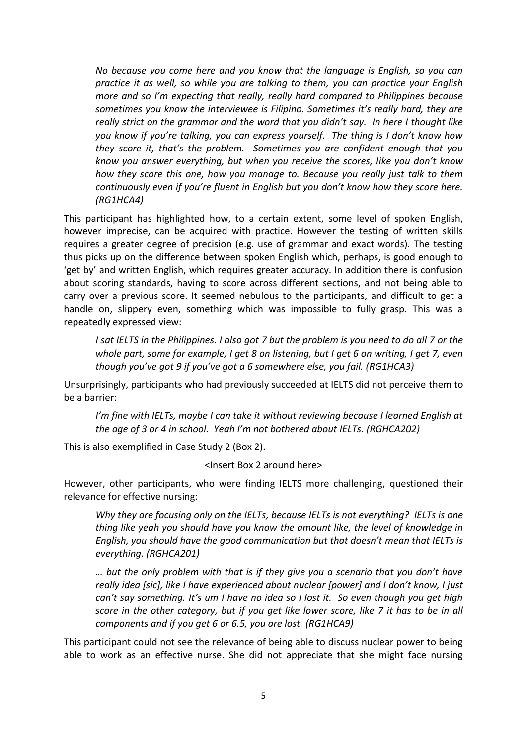*No because you come here and you know that the language is English, so you can practice it as well, so while you are talking to them, you can practice your English more and so I'm expecting that really, really hard compared to Philippines because sometimes you know the interviewee is Filipino. Sometimes it's really hard, they are really strict on the grammar and the word that you didn't say. In here I thought like you know if you're talking, you can express yourself. The thing is I don't know how they score it, that's the problem. Sometimes you are confident enough that you know you answer everything, but when you receive the scores, like you don't know how they score this one, how you manage to. Because you really just talk to them continuously even if you're fluent in English but you don't know how they score here. (RG1HCA4)*

This participant has highlighted how, to a certain extent, some level of spoken English, however imprecise, can be acquired with practice. However the testing of written skills requires a greater degree of precision (e.g. use of grammar and exact words). The testing thus picks up on the difference between spoken English which, perhaps, is good enough to 'get by' and written English, which requires greater accuracy. In addition there is confusion about scoring standards, having to score across different sections, and not being able to carry over a previous score. It seemed nebulous to the participants, and difficult to get a handle on, slippery even, something which was impossible to fully grasp. This was a repeatedly expressed view:

*I sat IELTS in the Philippines. I also got 7 but the problem is you need to do all 7 or the whole part, some for example, I get 8 on listening, but I get 6 on writing, I get 7, even though you've got 9 if you've got a 6 somewhere else, you fail. (RG1HCA3)*

Unsurprisingly, participants who had previously succeeded at IELTS did not perceive them to be a barrier:

*I'm fine with IELTs, maybe I can take it without reviewing because I learned English at the age of 3 or 4 in school. Yeah I'm not bothered about IELTs. (RGHCA202)*

This is also exemplified in Case Study 2 (Box 2).

#### <Insert Box 2 around here>

However, other participants, who were finding IELTS more challenging, questioned their relevance for effective nursing:

*Why they are focusing only on the IELTs, because IELTs is not everything? IELTs is one thing like yeah you should have you know the amount like, the level of knowledge in English, you should have the good communication but that doesn't mean that IELTs is everything. (RGHCA201)*

*… but the only problem with that is if they give you a scenario that you don't have really idea [sic], like I have experienced about nuclear [power] and I don't know, I just can't say something. It's um I have no idea so I lost it. So even though you get high score in the other category, but if you get like lower score, like 7 it has to be in all components and if you get 6 or 6.5, you are lost. (RG1HCA9)*

This participant could not see the relevance of being able to discuss nuclear power to being able to work as an effective nurse. She did not appreciate that she might face nursing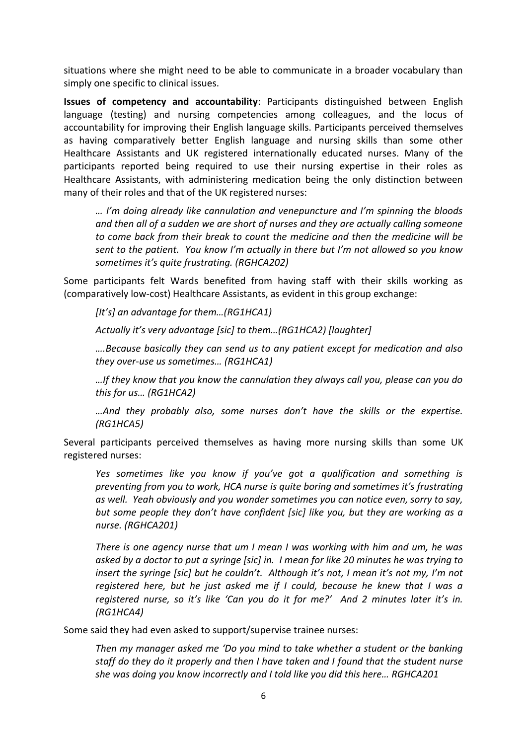situations where she might need to be able to communicate in a broader vocabulary than simply one specific to clinical issues.

**Issues of competency and accountability**: Participants distinguished between English language (testing) and nursing competencies among colleagues, and the locus of accountability for improving their English language skills. Participants perceived themselves as having comparatively better English language and nursing skills than some other Healthcare Assistants and UK registered internationally educated nurses. Many of the participants reported being required to use their nursing expertise in their roles as Healthcare Assistants, with administering medication being the only distinction between many of their roles and that of the UK registered nurses:

*… I'm doing already like cannulation and venepuncture and I'm spinning the bloods and then all of a sudden we are short of nurses and they are actually calling someone to come back from their break to count the medicine and then the medicine will be sent to the patient. You know I'm actually in there but I'm not allowed so you know sometimes it's quite frustrating. (RGHCA202)*

Some participants felt Wards benefited from having staff with their skills working as (comparatively low-cost) Healthcare Assistants, as evident in this group exchange:

*[It's] an advantage for them…(RG1HCA1)*

*Actually it's very advantage [sic] to them…(RG1HCA2) [laughter]*

*….Because basically they can send us to any patient except for medication and also they over-use us sometimes… (RG1HCA1)* 

*…If they know that you know the cannulation they always call you, please can you do this for us… (RG1HCA2)*

*…And they probably also, some nurses don't have the skills or the expertise. (RG1HCA5)*

Several participants perceived themselves as having more nursing skills than some UK registered nurses:

*Yes sometimes like you know if you've got a qualification and something is preventing from you to work, HCA nurse is quite boring and sometimes it's frustrating as well. Yeah obviously and you wonder sometimes you can notice even, sorry to say, but some people they don't have confident [sic] like you, but they are working as a nurse. (RGHCA201)*

*There is one agency nurse that um I mean I was working with him and um, he was asked by a doctor to put a syringe [sic] in. I mean for like 20 minutes he was trying to insert the syringe [sic] but he couldn't. Although it's not, I mean it's not my, I'm not registered here, but he just asked me if I could, because he knew that I was a registered nurse, so it's like 'Can you do it for me?' And 2 minutes later it's in. (RG1HCA4)*

Some said they had even asked to support/supervise trainee nurses:

*Then my manager asked me 'Do you mind to take whether a student or the banking staff do they do it properly and then I have taken and I found that the student nurse she was doing you know incorrectly and I told like you did this here… RGHCA201*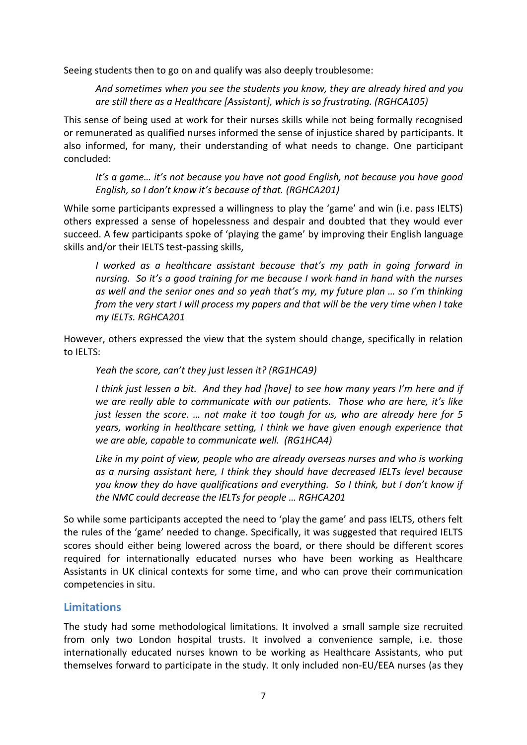Seeing students then to go on and qualify was also deeply troublesome:

*And sometimes when you see the students you know, they are already hired and you are still there as a Healthcare [Assistant], which is so frustrating. (RGHCA105)*

This sense of being used at work for their nurses skills while not being formally recognised or remunerated as qualified nurses informed the sense of injustice shared by participants. It also informed, for many, their understanding of what needs to change. One participant concluded:

*It's a game… it's not because you have not good English, not because you have good English, so I don't know it's because of that. (RGHCA201)*

While some participants expressed a willingness to play the 'game' and win (i.e. pass IELTS) others expressed a sense of hopelessness and despair and doubted that they would ever succeed. A few participants spoke of 'playing the game' by improving their English language skills and/or their IELTS test-passing skills,

*I* worked as a healthcare assistant because that's my path in going forward in *nursing. So it's a good training for me because I work hand in hand with the nurses as well and the senior ones and so yeah that's my, my future plan … so I'm thinking from the very start I will process my papers and that will be the very time when I take my IELTs. RGHCA201*

However, others expressed the view that the system should change, specifically in relation to IELTS:

*Yeah the score, can't they just lessen it? (RG1HCA9)*

*I think just lessen a bit. And they had [have] to see how many years I'm here and if we are really able to communicate with our patients. Those who are here, it's like just lessen the score. … not make it too tough for us, who are already here for 5 years, working in healthcare setting, I think we have given enough experience that we are able, capable to communicate well. (RG1HCA4)*

Like in my point of view, people who are already overseas nurses and who is working *as a nursing assistant here, I think they should have decreased IELTs level because you know they do have qualifications and everything. So I think, but I don't know if the NMC could decrease the IELTs for people … RGHCA201*

So while some participants accepted the need to 'play the game' and pass IELTS, others felt the rules of the 'game' needed to change. Specifically, it was suggested that required IELTS scores should either being lowered across the board, or there should be different scores required for internationally educated nurses who have been working as Healthcare Assistants in UK clinical contexts for some time, and who can prove their communication competencies in situ.

# **Limitations**

The study had some methodological limitations. It involved a small sample size recruited from only two London hospital trusts. It involved a convenience sample, i.e. those internationally educated nurses known to be working as Healthcare Assistants, who put themselves forward to participate in the study. It only included non-EU/EEA nurses (as they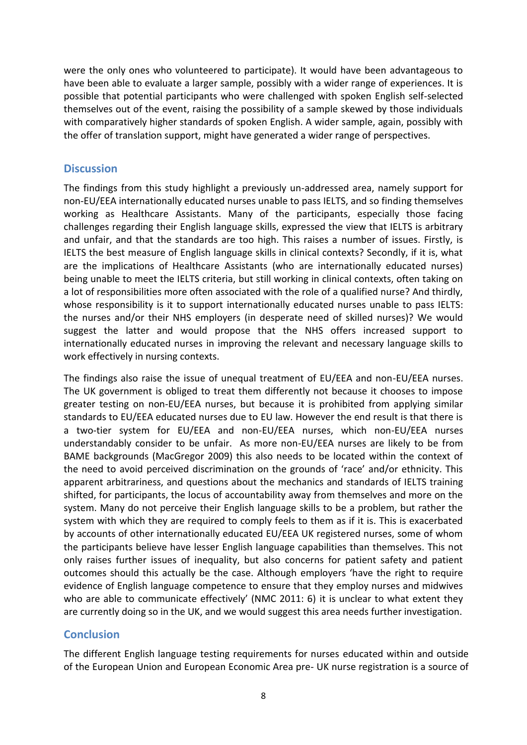were the only ones who volunteered to participate). It would have been advantageous to have been able to evaluate a larger sample, possibly with a wider range of experiences. It is possible that potential participants who were challenged with spoken English self-selected themselves out of the event, raising the possibility of a sample skewed by those individuals with comparatively higher standards of spoken English. A wider sample, again, possibly with the offer of translation support, might have generated a wider range of perspectives.

## **Discussion**

The findings from this study highlight a previously un-addressed area, namely support for non-EU/EEA internationally educated nurses unable to pass IELTS, and so finding themselves working as Healthcare Assistants. Many of the participants, especially those facing challenges regarding their English language skills, expressed the view that IELTS is arbitrary and unfair, and that the standards are too high. This raises a number of issues. Firstly, is IELTS the best measure of English language skills in clinical contexts? Secondly, if it is, what are the implications of Healthcare Assistants (who are internationally educated nurses) being unable to meet the IELTS criteria, but still working in clinical contexts, often taking on a lot of responsibilities more often associated with the role of a qualified nurse? And thirdly, whose responsibility is it to support internationally educated nurses unable to pass IELTS: the nurses and/or their NHS employers (in desperate need of skilled nurses)? We would suggest the latter and would propose that the NHS offers increased support to internationally educated nurses in improving the relevant and necessary language skills to work effectively in nursing contexts.

The findings also raise the issue of unequal treatment of EU/EEA and non-EU/EEA nurses. The UK government is obliged to treat them differently not because it chooses to impose greater testing on non-EU/EEA nurses, but because it is prohibited from applying similar standards to EU/EEA educated nurses due to EU law. However the end result is that there is a two-tier system for EU/EEA and non-EU/EEA nurses, which non-EU/EEA nurses understandably consider to be unfair. As more non-EU/EEA nurses are likely to be from BAME backgrounds (MacGregor 2009) this also needs to be located within the context of the need to avoid perceived discrimination on the grounds of 'race' and/or ethnicity. This apparent arbitrariness, and questions about the mechanics and standards of IELTS training shifted, for participants, the locus of accountability away from themselves and more on the system. Many do not perceive their English language skills to be a problem, but rather the system with which they are required to comply feels to them as if it is. This is exacerbated by accounts of other internationally educated EU/EEA UK registered nurses, some of whom the participants believe have lesser English language capabilities than themselves. This not only raises further issues of inequality, but also concerns for patient safety and patient outcomes should this actually be the case. Although employers 'have the right to require evidence of English language competence to ensure that they employ nurses and midwives who are able to communicate effectively' (NMC 2011: 6) it is unclear to what extent they are currently doing so in the UK, and we would suggest this area needs further investigation.

# **Conclusion**

The different English language testing requirements for nurses educated within and outside of the European Union and European Economic Area pre- UK nurse registration is a source of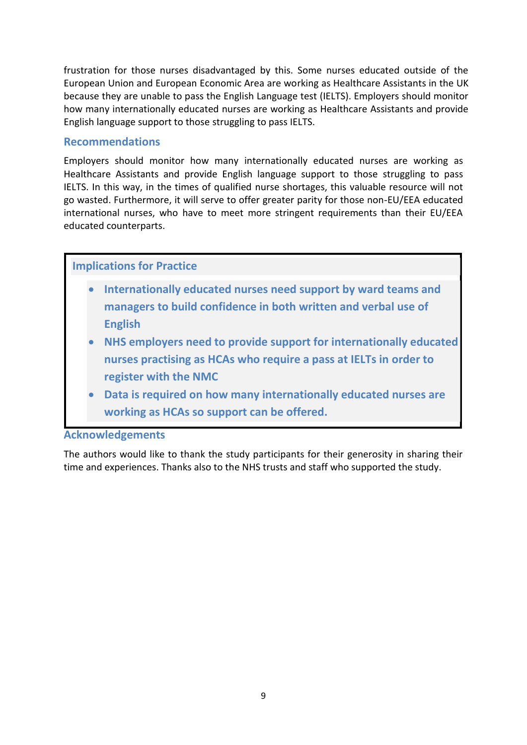frustration for those nurses disadvantaged by this. Some nurses educated outside of the European Union and European Economic Area are working as Healthcare Assistants in the UK because they are unable to pass the English Language test (IELTS). Employers should monitor how many internationally educated nurses are working as Healthcare Assistants and provide English language support to those struggling to pass IELTS.

## **Recommendations**

Employers should monitor how many internationally educated nurses are working as Healthcare Assistants and provide English language support to those struggling to pass IELTS. In this way, in the times of qualified nurse shortages, this valuable resource will not go wasted. Furthermore, it will serve to offer greater parity for those non-EU/EEA educated international nurses, who have to meet more stringent requirements than their EU/EEA educated counterparts.

## **Implications for Practice**

- **Internationally educated nurses need support by ward teams and managers to build confidence in both written and verbal use of English**
- **NHS employers need to provide support for internationally educated nurses practising as HCAs who require a pass at IELTs in order to register with the NMC**
- **Data is required on how many internationally educated nurses are working as HCAs so support can be offered.**

# ${\bf Acknowledgements}$

The authors would like to thank the study participants for their generosity in sharing their time and experiences. Thanks also to the NHS trusts and staff who supported the study. and outside of the European Union and European Economic Area pre- UK nurse registrations would like to thank the study participants for their generosity in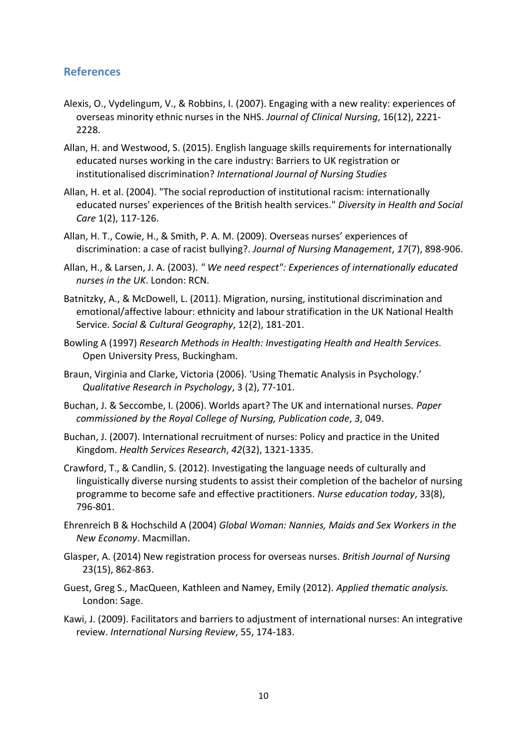# **References**

- Alexis, O., Vydelingum, V., & Robbins, I. (2007). Engaging with a new reality: experiences of overseas minority ethnic nurses in the NHS. *Journal of Clinical Nursing*, 16(12), 2221- 2228.
- Allan, H. and Westwood, S. (2015). English language skills requirements for internationally educated nurses working in the care industry: Barriers to UK registration or institutionalised discrimination? *International Journal of Nursing Studies*
- Allan, H. et al. (2004). "The social reproduction of institutional racism: internationally educated nurses' experiences of the British health services." *Diversity in Health and Social Care* 1(2), 117-126.
- Allan, H. T., Cowie, H., & Smith, P. A. M. (2009). Overseas nurses' experiences of discrimination: a case of racist bullying?. *Journal of Nursing Management*, *17*(7), 898-906.
- Allan, H., & Larsen, J. A. (2003). *" We need respect": Experiences of internationally educated nurses in the UK*. London: RCN.
- Batnitzky, A., & McDowell, L. (2011). Migration, nursing, institutional discrimination and emotional/affective labour: ethnicity and labour stratification in the UK National Health Service. *Social & Cultural Geography*, 12(2), 181-201.
- Bowling A (1997) *Research Methods in Health: Investigating Health and Health Services.*  Open University Press, Buckingham.
- Braun, Virginia and Clarke, Victoria (2006). 'Using Thematic Analysis in Psychology.' *Qualitative Research in Psychology*, 3 (2), 77-101.
- Buchan, J. & Seccombe, I. (2006). Worlds apart? The UK and international nurses. *Paper commissioned by the Royal College of Nursing, Publication code*, *3*, 049.
- Buchan, J. (2007). International recruitment of nurses: Policy and practice in the United Kingdom. *Health Services Research*, *42*(32), 1321-1335.
- Crawford, T., & Candlin, S. (2012). Investigating the language needs of culturally and linguistically diverse nursing students to assist their completion of the bachelor of nursing programme to become safe and effective practitioners. *Nurse education today*, 33(8), 796-801.
- Ehrenreich B & Hochschild A (2004) *Global Woman: Nannies, Maids and Sex Workers in the New Economy*. Macmillan.
- Glasper, A. (2014) New registration process for overseas nurses. *British Journal of Nursing*  23(15), 862-863.
- Guest, Greg S., MacQueen, Kathleen and Namey, Emily (2012). *Applied thematic analysis.* London: Sage.
- Kawi, J. (2009). Facilitators and barriers to adjustment of international nurses: An integrative review. *International Nursing Review*, 55, 174-183.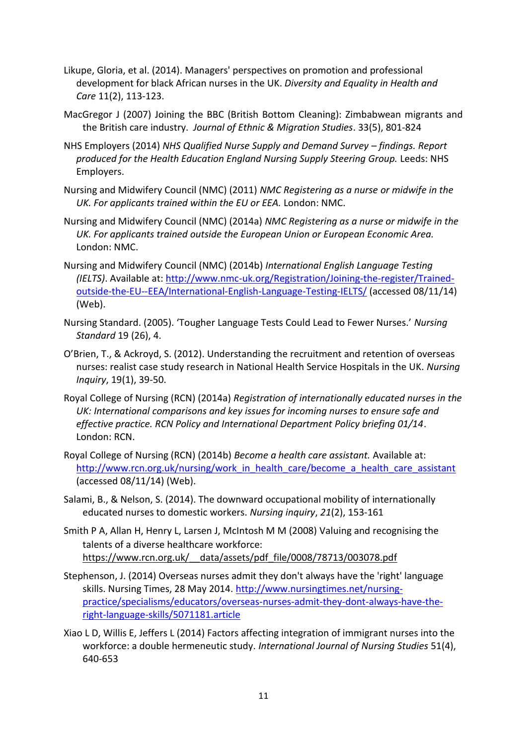- Likupe, Gloria, et al. (2014). Managers' perspectives on promotion and professional development for black African nurses in the UK. *Diversity and Equality in Health and Care* 11(2), 113-123.
- MacGregor J (2007) Joining the BBC (British Bottom Cleaning): Zimbabwean migrants and the British care industry. *Journal of Ethnic & Migration Studies*. 33(5), 801-824
- NHS Employers (2014) *NHS Qualified Nurse Supply and Demand Survey – findings. Report produced for the Health Education England Nursing Supply Steering Group.* Leeds: NHS Employers.
- Nursing and Midwifery Council (NMC) (2011) *NMC Registering as a nurse or midwife in the UK. For applicants trained within the EU or EEA.* London: NMC.
- Nursing and Midwifery Council (NMC) (2014a) *NMC Registering as a nurse or midwife in the UK. For applicants trained outside the European Union or European Economic Area.*  London: NMC.
- Nursing and Midwifery Council (NMC) (2014b) *International English Language Testing (IELTS)*. Available at: [http://www.nmc-uk.org/Registration/Joining-the-register/Trained](http://www.nmc-uk.org/Registration/Joining-the-register/Trained-outside-the-EU--EEA/International-English-Language-Testing-IELTS/)[outside-the-EU--EEA/International-English-Language-Testing-IELTS/](http://www.nmc-uk.org/Registration/Joining-the-register/Trained-outside-the-EU--EEA/International-English-Language-Testing-IELTS/) (accessed 08/11/14) (Web).
- Nursing Standard. (2005). 'Tougher Language Tests Could Lead to Fewer Nurses.' *Nursing Standard* 19 (26), 4.
- O'Brien, T., & Ackroyd, S. (2012). Understanding the recruitment and retention of overseas nurses: realist case study research in National Health Service Hospitals in the UK. *Nursing Inquiry*, 19(1), 39-50.
- Royal College of Nursing (RCN) (2014a) *Registration of internationally educated nurses in the UK: International comparisons and key issues for incoming nurses to ensure safe and effective practice. RCN Policy and International Department Policy briefing 01/14*. London: RCN.
- Royal College of Nursing (RCN) (2014b) *Become a health care assistant.* Available at: http://www.rcn.org.uk/nursing/work\_in\_health\_care/become\_a\_health\_care\_assistant (accessed 08/11/14) (Web).
- Salami, B., & Nelson, S. (2014). The downward occupational mobility of internationally educated nurses to domestic workers. *Nursing inquiry*, *21*(2), 153-161
- Smith P A, Allan H, Henry L, Larsen J, McIntosh M M (2008) Valuing and recognising the talents of a diverse healthcare workforce: https://www.rcn.org.uk/\_\_data/assets/pdf\_file/0008/78713/003078.pdf
- Stephenson, J. (2014) Overseas nurses admit they don't always have the 'right' language skills. Nursing Times, 28 May 2014. [http://www.nursingtimes.net/nursing](http://www.nursingtimes.net/nursing-practice/specialisms/educators/overseas-nurses-admit-they-dont-always-have-the-right-language-skills/5071181.article)[practice/specialisms/educators/overseas-nurses-admit-they-dont-always-have-the](http://www.nursingtimes.net/nursing-practice/specialisms/educators/overseas-nurses-admit-they-dont-always-have-the-right-language-skills/5071181.article)[right-language-skills/5071181.article](http://www.nursingtimes.net/nursing-practice/specialisms/educators/overseas-nurses-admit-they-dont-always-have-the-right-language-skills/5071181.article)
- Xiao L D, Willis E, Jeffers L (2014) Factors affecting integration of immigrant nurses into the workforce: a double hermeneutic study. *International Journal of Nursing Studies* 51(4), 640-653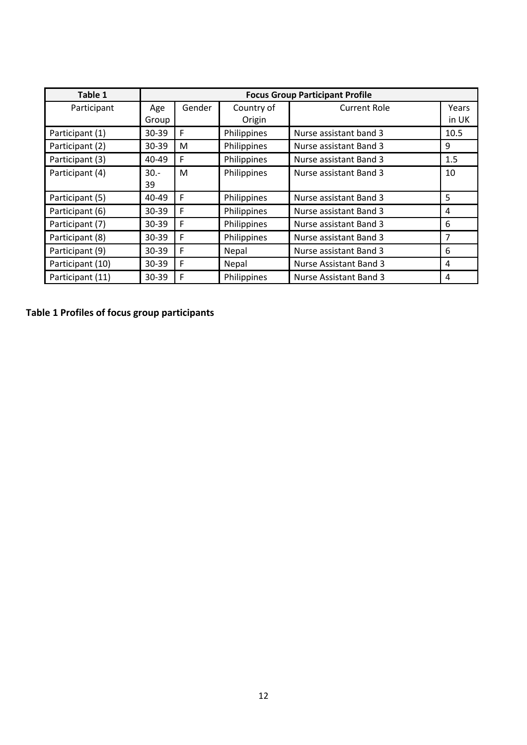| Table 1          | <b>Focus Group Participant Profile</b> |        |             |                        |       |
|------------------|----------------------------------------|--------|-------------|------------------------|-------|
| Participant      | Age                                    | Gender | Country of  | <b>Current Role</b>    | Years |
|                  | Group                                  |        | Origin      |                        | in UK |
| Participant (1)  | 30-39                                  | F      | Philippines | Nurse assistant band 3 | 10.5  |
| Participant (2)  | 30-39                                  | M      | Philippines | Nurse assistant Band 3 | 9     |
| Participant (3)  | 40-49                                  | F      | Philippines | Nurse assistant Band 3 | 1.5   |
| Participant (4)  | $30 -$                                 | M      | Philippines | Nurse assistant Band 3 | 10    |
|                  | 39                                     |        |             |                        |       |
| Participant (5)  | $40 - 49$                              | F      | Philippines | Nurse assistant Band 3 | 5     |
| Participant (6)  | 30-39                                  | F      | Philippines | Nurse assistant Band 3 | 4     |
| Participant (7)  | 30-39                                  | F      | Philippines | Nurse assistant Band 3 | 6     |
| Participant (8)  | 30-39                                  | F      | Philippines | Nurse assistant Band 3 | 7     |
| Participant (9)  | 30-39                                  | F      | Nepal       | Nurse assistant Band 3 | 6     |
| Participant (10) | 30-39                                  | F      | Nepal       | Nurse Assistant Band 3 | 4     |
| Participant (11) | $30 - 39$                              | F      | Philippines | Nurse Assistant Band 3 | 4     |

**Table 1 Profiles of focus group participants**